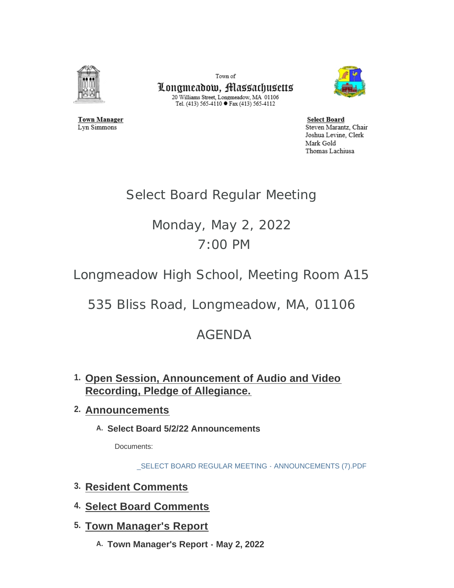

**Town Manager** 

Lyn Simmons

Town of

Longmeadow, Massachusetts  $\begin{array}{c} \text{20 Williams Street, Longmeadow, MA 01106}\\ \text{Tel. (413) 565-4110}\bullet \text{Fax (413) 565-4112} \end{array}$ 



**Select Board** Steven Marantz, Chair Joshua Levine, Clerk Mark Gold Thomas Lachiusa

## Select Board Regular Meeting

# Monday, May 2, 2022 7:00 PM

Longmeadow High School, Meeting Room A15

535 Bliss Road, Longmeadow, MA, 01106

## AGENDA

**Open Session, Announcement of Audio and Video 1. Recording, Pledge of Allegiance.** 

## **Announcements 2.**

**Select Board 5/2/22 Announcements A.**

Documents:

[\\_SELECT BOARD REGULAR MEETING - ANNOUNCEMENTS \(7\).PDF](https://www.longmeadow.org/AgendaCenter/ViewFile/Item/2290?fileID=22557)

- **Resident Comments 3.**
- **Select Board Comments 4.**
- **Town Manager's Report 5.**
	- **Town Manager's Report May 2, 2022 A.**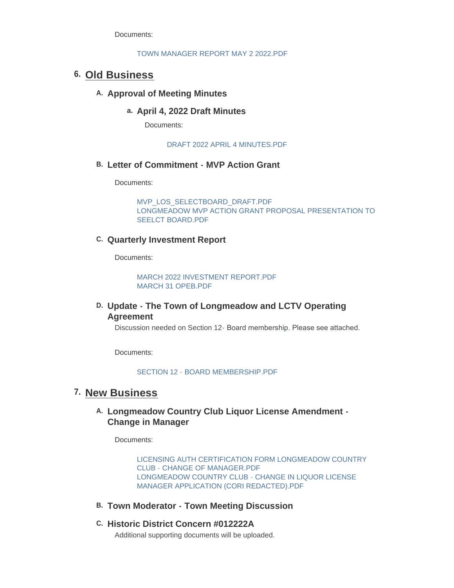Documents:

#### [TOWN MANAGER REPORT MAY 2 2022.PDF](https://www.longmeadow.org/AgendaCenter/ViewFile/Item/2305?fileID=22661)

### **Old Business 6.**

#### A. Approval of Meeting Minutes

#### **April 4, 2022 Draft Minutes a.**

Documents:

[DRAFT 2022 APRIL 4 MINUTES.PDF](https://www.longmeadow.org/AgendaCenter/ViewFile/Item/2291?fileID=22651)

#### **Letter of Commitment - MVP Action Grant B.**

Documents:

[MVP\\_LOS\\_SELECTBOARD\\_DRAFT.PDF](https://www.longmeadow.org/AgendaCenter/ViewFile/Item/2251?fileID=22555) [LONGMEADOW MVP ACTION GRANT PROPOSAL PRESENTATION TO](https://www.longmeadow.org/AgendaCenter/ViewFile/Item/2251?fileID=22637)  SEELCT BOARD.PDF

#### **Quarterly Investment Report C.**

Documents:

MARCH 2022 INVESTMENT REPORT PDF [MARCH 31 OPEB.PDF](https://www.longmeadow.org/AgendaCenter/ViewFile/Item/2279?fileID=22553)

#### **Update - The Town of Longmeadow and LCTV Operating D. Agreement**

Discussion needed on Section 12- Board membership. Please see attached.

Documents:

[SECTION 12 - BOARD MEMBERSHIP.PDF](https://www.longmeadow.org/AgendaCenter/ViewFile/Item/2288?fileID=22638)

### **7. New Business**

#### **Longmeadow Country Club Liquor License Amendment - A. Change in Manager**

Documents:

[LICENSING AUTH CERTIFICATION FORM LONGMEADOW COUNTRY](https://www.longmeadow.org/AgendaCenter/ViewFile/Item/2258?fileID=22551)  CLUB - CHANGE OF MANAGER.PDF [LONGMEADOW COUNTRY CLUB - CHANGE IN LIQUOR LICENSE](https://www.longmeadow.org/AgendaCenter/ViewFile/Item/2258?fileID=22650)  MANAGER APPLICATION (CORI REDACTED).PDF

- **Town Moderator Town Meeting Discussion B.**
- **Historic District Concern #012222A C.**

Additional supporting documents will be uploaded.